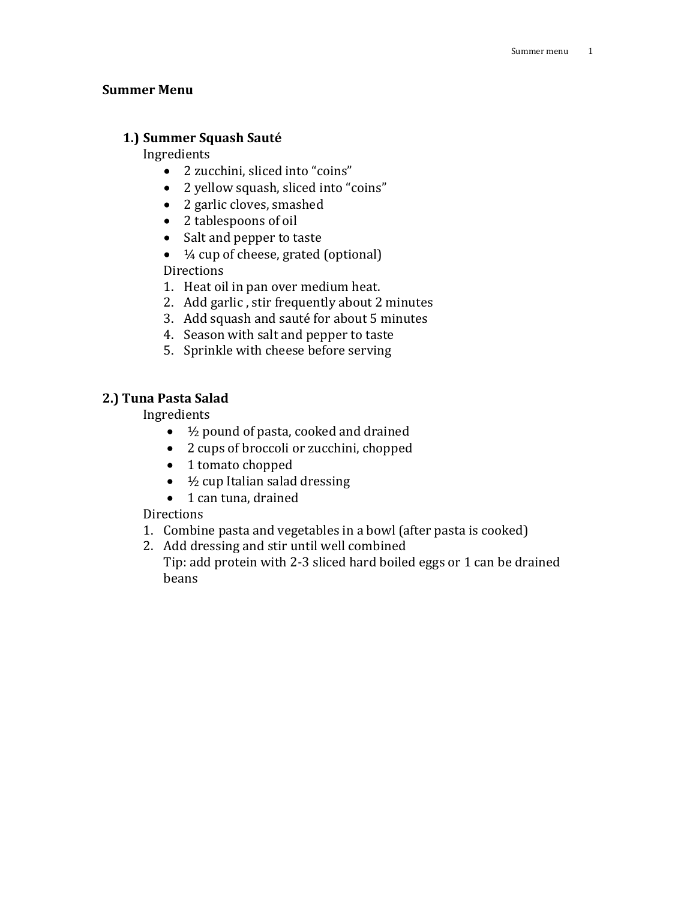## **Summer Menu**

# **1.) Summer Squash Sauté**

Ingredients

- 2 zucchini, sliced into "coins"
- 2 yellow squash, sliced into "coins"
- 2 garlic cloves, smashed
- 2 tablespoons of oil
- Salt and pepper to taste
- $\bullet$   $\frac{1}{4}$  cup of cheese, grated (optional) **Directions**
- 1. Heat oil in pan over medium heat.
- 2. Add garlic , stir frequently about 2 minutes
- 3. Add squash and sauté for about 5 minutes
- 4. Season with salt and pepper to taste
- 5. Sprinkle with cheese before serving

# **2.) Tuna Pasta Salad**

### Ingredients

- 2/<sub>2</sub> pound of pasta, cooked and drained
- 2 cups of broccoli or zucchini, chopped
- 1 tomato chopped
- $\bullet$   $\frac{1}{2}$  cup Italian salad dressing
- 1 can tuna, drained

# **Directions**

- 1. Combine pasta and vegetables in a bowl (after pasta is cooked)
- 2. Add dressing and stir until well combined

Tip: add protein with 2-3 sliced hard boiled eggs or 1 can be drained beans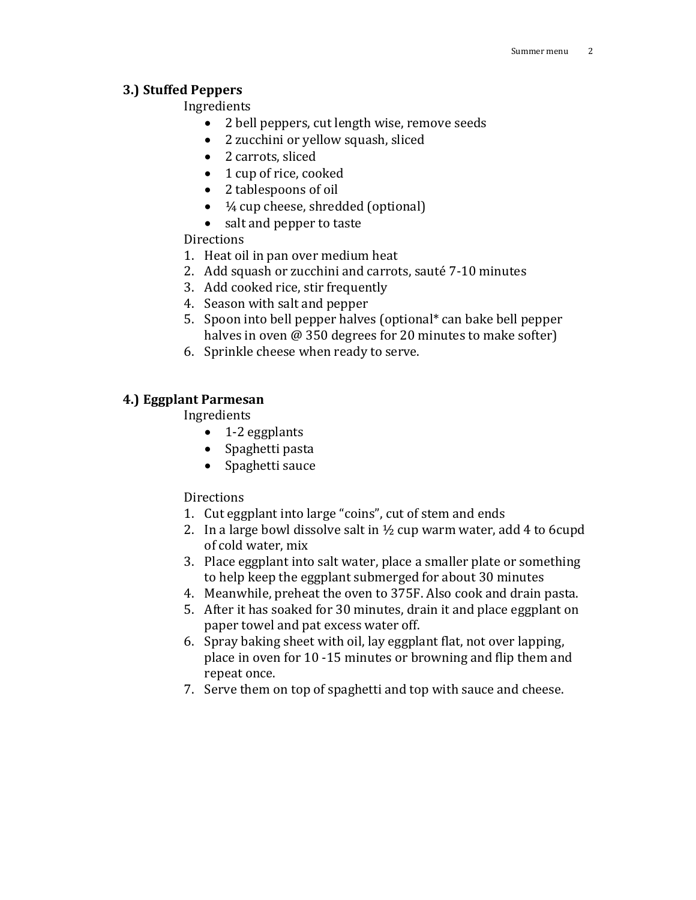### **3.) Stuffed Peppers**

## Ingredients

- 2 bell peppers, cut length wise, remove seeds
- 2 zucchini or yellow squash, sliced
- 2 carrots, sliced
- 1 cup of rice, cooked
- 2 tablespoons of oil
- $\bullet$   $\frac{1}{4}$  cup cheese, shredded (optional)
- salt and pepper to taste

## **Directions**

- 1. Heat oil in pan over medium heat
- 2. Add squash or zucchini and carrots, sauté 7-10 minutes
- 3. Add cooked rice, stir frequently
- 4. Season with salt and pepper
- 5. Spoon into bell pepper halves (optional\* can bake bell pepper halves in oven @ 350 degrees for 20 minutes to make softer)
- 6. Sprinkle cheese when ready to serve.

## **4.) Eggplant Parmesan**

Ingredients

- $\bullet$  1-2 eggplants
- Spaghetti pasta
- Spaghetti sauce

## **Directions**

- 1. Cut eggplant into large "coins", cut of stem and ends
- 2. In a large bowl dissolve salt in  $\frac{1}{2}$  cup warm water, add 4 to 6cupd of cold water, mix
- 3. Place eggplant into salt water, place a smaller plate or something to help keep the eggplant submerged for about 30 minutes
- 4. Meanwhile, preheat the oven to 375F. Also cook and drain pasta.
- 5. After it has soaked for 30 minutes, drain it and place eggplant on paper towel and pat excess water off.
- 6. Spray baking sheet with oil, lay eggplant flat, not over lapping, place in oven for 10 -15 minutes or browning and flip them and repeat once.
- 7. Serve them on top of spaghetti and top with sauce and cheese.